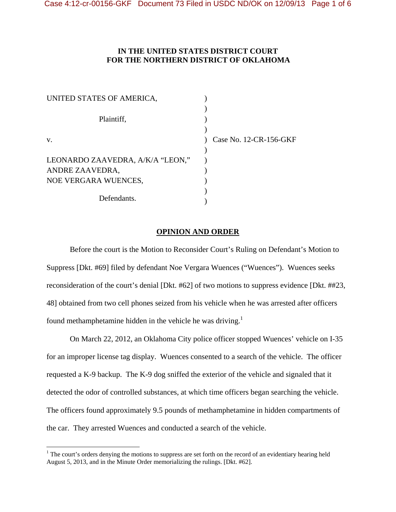# **IN THE UNITED STATES DISTRICT COURT FOR THE NORTHERN DISTRICT OF OKLAHOMA**

| UNITED STATES OF AMERICA,        |                        |
|----------------------------------|------------------------|
| Plaintiff,                       |                        |
| V.                               | Case No. 12-CR-156-GKF |
|                                  |                        |
| LEONARDO ZAAVEDRA, A/K/A "LEON," |                        |
| ANDRE ZAAVEDRA,                  |                        |
| NOE VERGARA WUENCES,             |                        |
| Defendants.                      |                        |

## **OPINION AND ORDER**

 Before the court is the Motion to Reconsider Court's Ruling on Defendant's Motion to Suppress [Dkt. #69] filed by defendant Noe Vergara Wuences ("Wuences"). Wuences seeks reconsideration of the court's denial [Dkt. #62] of two motions to suppress evidence [Dkt. ##23, 48] obtained from two cell phones seized from his vehicle when he was arrested after officers found methamphetamine hidden in the vehicle he was driving.<sup>1</sup>

 On March 22, 2012, an Oklahoma City police officer stopped Wuences' vehicle on I-35 for an improper license tag display. Wuences consented to a search of the vehicle. The officer requested a K-9 backup. The K-9 dog sniffed the exterior of the vehicle and signaled that it detected the odor of controlled substances, at which time officers began searching the vehicle. The officers found approximately 9.5 pounds of methamphetamine in hidden compartments of the car. They arrested Wuences and conducted a search of the vehicle.

 $\overline{a}$ 

 $<sup>1</sup>$  The court's orders denying the motions to suppress are set forth on the record of an evidentiary hearing held</sup> August 5, 2013, and in the Minute Order memorializing the rulings. [Dkt. #62].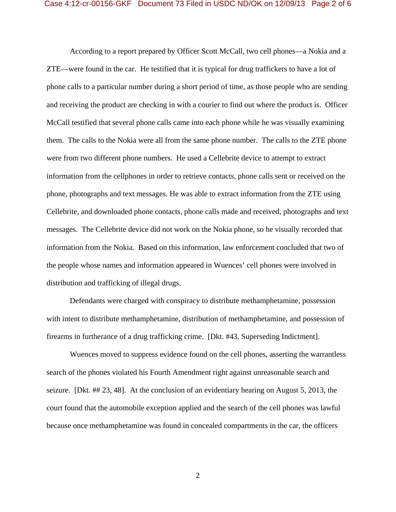According to a report prepared by Officer Scott McCall, two cell phones—a Nokia and a ZTE—were found in the car. He testified that it is typical for drug traffickers to have a lot of phone calls to a particular number during a short period of time, as those people who are sending and receiving the product are checking in with a courier to find out where the product is. Officer McCall testified that several phone calls came into each phone while he was visually examining them. The calls to the Nokia were all from the same phone number. The calls to the ZTE phone were from two different phone numbers. He used a Cellebrite device to attempt to extract information from the cellphones in order to retrieve contacts, phone calls sent or received on the phone, photographs and text messages. He was able to extract information from the ZTE using Cellebrite, and downloaded phone contacts, phone calls made and received, photographs and text messages. The Cellebrite device did not work on the Nokia phone, so he visually recorded that information from the Nokia. Based on this information, law enforcement concluded that two of the people whose names and information appeared in Wuences' cell phones were involved in distribution and trafficking of illegal drugs.

Defendants were charged with conspiracy to distribute methamphetamine, possession with intent to distribute methamphetamine, distribution of methamphetamine, and possession of firearms in furtherance of a drug trafficking crime. [Dkt. #43, Superseding Indictment].

Wuences moved to suppress evidence found on the cell phones, asserting the warrantless search of the phones violated his Fourth Amendment right against unreasonable search and seizure. [Dkt. ## 23, 48]. At the conclusion of an evidentiary hearing on August 5, 2013, the court found that the automobile exception applied and the search of the cell phones was lawful because once methamphetamine was found in concealed compartments in the car, the officers

2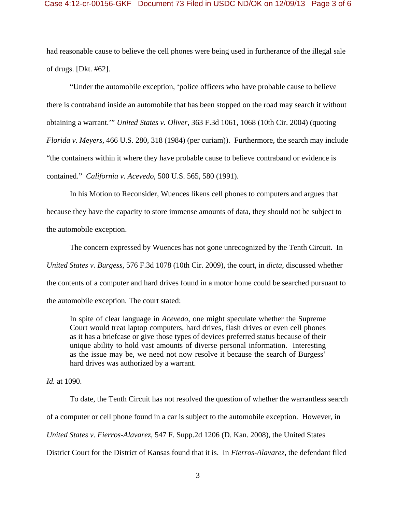## Case 4:12-cr-00156-GKF Document 73 Filed in USDC ND/OK on 12/09/13 Page 3 of 6

had reasonable cause to believe the cell phones were being used in furtherance of the illegal sale of drugs. [Dkt. #62].

"Under the automobile exception, 'police officers who have probable cause to believe there is contraband inside an automobile that has been stopped on the road may search it without obtaining a warrant.'" *United States v. Oliver*, 363 F.3d 1061, 1068 (10th Cir. 2004) (quoting *Florida v. Meyers*, 466 U.S. 280, 318 (1984) (per curiam)). Furthermore, the search may include "the containers within it where they have probable cause to believe contraband or evidence is contained." *California v. Acevedo*, 500 U.S. 565, 580 (1991).

 In his Motion to Reconsider, Wuences likens cell phones to computers and argues that because they have the capacity to store immense amounts of data, they should not be subject to the automobile exception.

 The concern expressed by Wuences has not gone unrecognized by the Tenth Circuit. In *United States v. Burgess*, 576 F.3d 1078 (10th Cir. 2009), the court, in *dicta*, discussed whether the contents of a computer and hard drives found in a motor home could be searched pursuant to the automobile exception. The court stated:

In spite of clear language in *Acevedo*, one might speculate whether the Supreme Court would treat laptop computers, hard drives, flash drives or even cell phones as it has a briefcase or give those types of devices preferred status because of their unique ability to hold vast amounts of diverse personal information. Interesting as the issue may be, we need not now resolve it because the search of Burgess' hard drives was authorized by a warrant.

*Id.* at 1090.

 To date, the Tenth Circuit has not resolved the question of whether the warrantless search of a computer or cell phone found in a car is subject to the automobile exception. However, in *United States v. Fierros-Alavarez*, 547 F. Supp.2d 1206 (D. Kan. 2008), the United States District Court for the District of Kansas found that it is. In *Fierros-Alavarez*, the defendant filed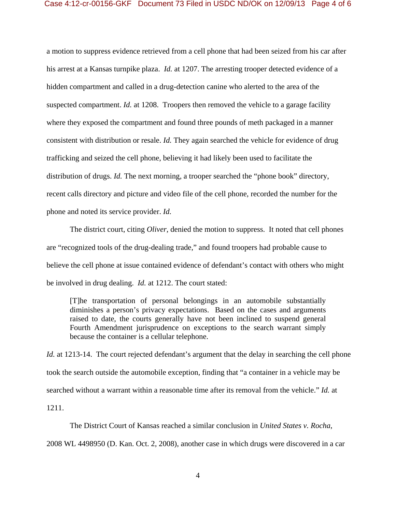## Case 4:12-cr-00156-GKF Document 73 Filed in USDC ND/OK on 12/09/13 Page 4 of 6

a motion to suppress evidence retrieved from a cell phone that had been seized from his car after his arrest at a Kansas turnpike plaza. *Id.* at 1207. The arresting trooper detected evidence of a hidden compartment and called in a drug-detection canine who alerted to the area of the suspected compartment. *Id.* at 1208. Troopers then removed the vehicle to a garage facility where they exposed the compartment and found three pounds of meth packaged in a manner consistent with distribution or resale. *Id.* They again searched the vehicle for evidence of drug trafficking and seized the cell phone, believing it had likely been used to facilitate the distribution of drugs. *Id.* The next morning, a trooper searched the "phone book" directory, recent calls directory and picture and video file of the cell phone, recorded the number for the phone and noted its service provider. *Id.* 

 The district court, citing *Oliver*, denied the motion to suppress. It noted that cell phones are "recognized tools of the drug-dealing trade," and found troopers had probable cause to believe the cell phone at issue contained evidence of defendant's contact with others who might be involved in drug dealing. *Id.* at 1212. The court stated:

[T]he transportation of personal belongings in an automobile substantially diminishes a person's privacy expectations. Based on the cases and arguments raised to date, the courts generally have not been inclined to suspend general Fourth Amendment jurisprudence on exceptions to the search warrant simply because the container is a cellular telephone.

*Id.* at 1213-14. The court rejected defendant's argument that the delay in searching the cell phone took the search outside the automobile exception, finding that "a container in a vehicle may be searched without a warrant within a reasonable time after its removal from the vehicle." *Id.* at 1211.

 The District Court of Kansas reached a similar conclusion in *United States v. Rocha*, 2008 WL 4498950 (D. Kan. Oct. 2, 2008), another case in which drugs were discovered in a car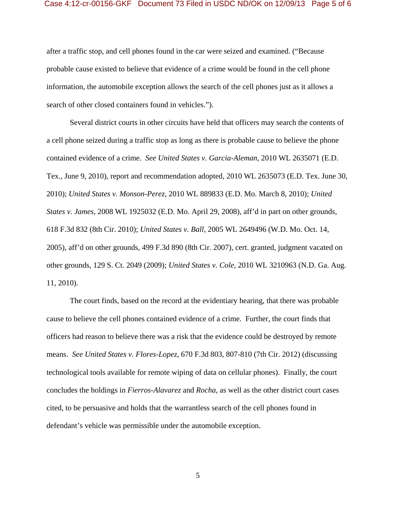#### Case 4:12-cr-00156-GKF Document 73 Filed in USDC ND/OK on 12/09/13 Page 5 of 6

after a traffic stop, and cell phones found in the car were seized and examined. ("Because probable cause existed to believe that evidence of a crime would be found in the cell phone information, the automobile exception allows the search of the cell phones just as it allows a search of other closed containers found in vehicles.").

 Several district courts in other circuits have held that officers may search the contents of a cell phone seized during a traffic stop as long as there is probable cause to believe the phone contained evidence of a crime. *See United States v. Garcia-Aleman*, 2010 WL 2635071 (E.D. Tex., June 9, 2010), report and recommendation adopted, 2010 WL 2635073 (E.D. Tex. June 30, 2010); *United States v. Monson-Perez*, 2010 WL 889833 (E.D. Mo. March 8, 2010); *United States v. James*, 2008 WL 1925032 (E.D. Mo. April 29, 2008), aff'd in part on other grounds, 618 F.3d 832 (8th Cir. 2010); *United States v. Ball*, 2005 WL 2649496 (W.D. Mo. Oct. 14, 2005), aff'd on other grounds, 499 F.3d 890 (8th Cir. 2007), cert. granted, judgment vacated on other grounds, 129 S. Ct. 2049 (2009); *United States v. Cole*, 2010 WL 3210963 (N.D. Ga. Aug. 11, 2010).

 The court finds, based on the record at the evidentiary hearing, that there was probable cause to believe the cell phones contained evidence of a crime. Further, the court finds that officers had reason to believe there was a risk that the evidence could be destroyed by remote means. *See United States v. Flores-Lopez*, 670 F.3d 803, 807-810 (7th Cir. 2012) (discussing technological tools available for remote wiping of data on cellular phones). Finally, the court concludes the holdings in *Fierros-Alavarez* and *Rocha*, as well as the other district court cases cited, to be persuasive and holds that the warrantless search of the cell phones found in defendant's vehicle was permissible under the automobile exception.

5